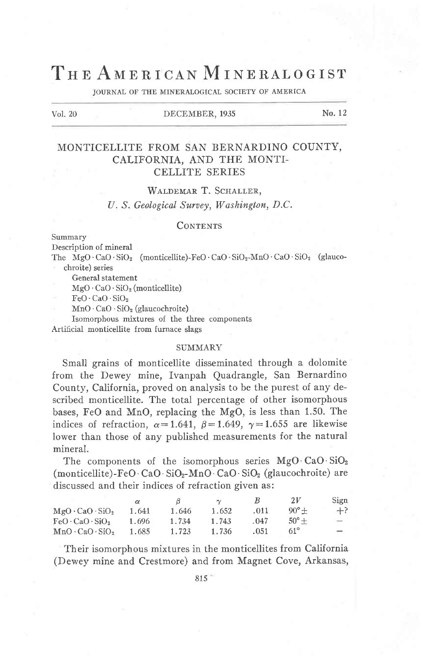# THE AMERICAN MINERALOGIST

JOURNAL OF THE MINERALOGICAL SOCIETY OF AMERICA

#### Vol. 20 DECEMBER, 1935 No. 12

# MONTICELLITE FROM SAN BERNARDINO COUNTY, CALIFORNIA. AND THE MONTI-CELLITE SERIES

WALDEMAR T. SCHALLER,

U. S. Geological Survey, Washington, D.C.

#### **CONTENTS**

Summary

Description of mineral

The  $MgO \cdot CaO \cdot SiO_2$  (monticellite)-FeO $\cdot CaO \cdot SiO_2$ -MnO $\cdot CaO \cdot SiO_2$  (glaucochroite) series

- General statement  $MgO \cdot CaO \cdot SiO<sub>2</sub>$  (monticellite)
- 

 $FeO \cdot CaO \cdot SiO<sub>2</sub>$ 

 $MnO \cdot CaO \cdot SiO<sub>2</sub>$  (glaucochroite)

Isomorphous mixtures of the three components Artificial monticellite from furnace slass

#### SUMMARY

Small grains of monticellite disseminated through a dolomite from the Dewey mine, Ivanpah Quadrangle, San Bernardino County, California, proved on analysis to be the purest of any described monticellite. The total percentage of other isomorphous bases, FeO and MnO, replacing the MgO, is less than 1.50. The indices of refraction,  $\alpha=1.641$ ,  $\beta=1.649$ ,  $\gamma=1.655$  are likewise lower than those of any published measurements for the natural mineral.

The components of the isomorphous series MgO·CaO·SiO<sub>2</sub> (monticellite)-FeO·CaO· $SiO_2$ -MnO·CaO· $SiO_2$  (glaucochroite) are discussed and their indices of refraction given as:

|                             |       |       | $\sim$ |      | 2V             | Sign                            |
|-----------------------------|-------|-------|--------|------|----------------|---------------------------------|
| $MgO \cdot CaO \cdot SiO2$  | 1.641 | 1.646 | 1.652  | .011 | $90^{\circ}$ + | $+?$                            |
| $FeO \cdot CaO \cdot SiO_2$ | 1.696 | 1.734 | 1.743  | .047 | $50^{\circ}$ + | $\hspace{0.1mm}-\hspace{0.1mm}$ |
| $MnO \cdot CaO \cdot SiO_2$ | 1.685 | 1.723 | 1.736  | .051 | $61^\circ$     |                                 |

Their isomorphous mixtures in the monticellites from California (Dewey mine and Crestmore) and from Magnet Cove, Arkansas,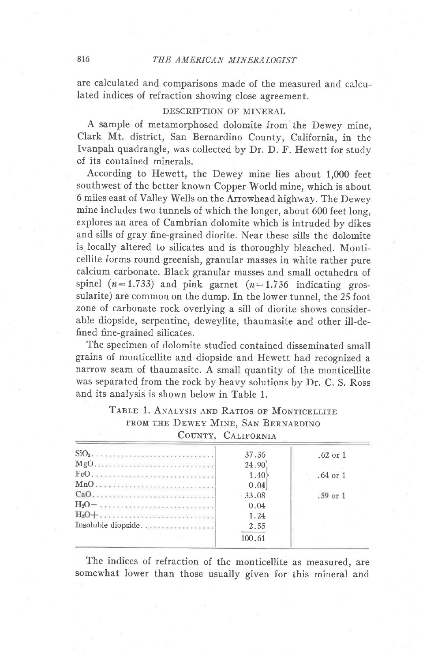are calculated and comparisons made of the measured and calculated indices of refraction showing close agreement.

### DESCRIPTION OF MINERAL

A sample of metamorphosed dolomite from the Dewey mine, Clark Mt. district, San Bernardino County, California, in the Ivanpah quadrangle, was collected by Dr. D. F. Hewett for study of its contained minerals.

According to Hewett, the Dewey mine lies about 1,000 feet southwest of the better known Copper World mine, which is about 6 miles east of Valley Wells on the Arrowhead highway. The Dewey mine includes two tunnels of which the longer, about 600 feet long, explores an area of Cambrian dolomite which is intruded by dikes and sills of gray fine-grained diorite. Near these sills the dolomite is locally altered to silicates and is thoroughly bleached. Monticellite forms round greenish, granular masses in white rather pure calcium carbonate. Black granular masses and small octahedra of spinel ( $n=1.733$ ) and pink garnet ( $n=1.736$  indicating grossularite) are common on the dump. fn the lower tunnel, the 25 foot zone of carbonate rock overlying a sill of diorite shows considerable diopside, serpentine, deweylite, thaumasite and other ill-defined fine-grained silicates.

The specimen of dolomite studied contained disseminated small grains of monticellite and diopside and Hewett had recognized a narrow seam of thaumasite. A small quantity of the monticellite was separated from the rock by heavy solutions by Dr. C. S. Ross and its analysis is shown below in Table 1.

| TABLE 1. ANALYSIS AND RATIOS OF MONTICELLITE |  |
|----------------------------------------------|--|
| FROM THE DEWEY MINE, SAN BERNARDINO          |  |
| $\bigcap_{n \in \mathbb{N}}$                 |  |

| COUNTY. | <b>CALIFORNIA</b> |
|---------|-------------------|
|         |                   |

| 37.36  | $.62$ or $1$ |
|--------|--------------|
| 24.90  |              |
| 1.40   | $.64$ or $1$ |
| 0.04   |              |
| 33.08  | $.59$ or $1$ |
| 0.04   |              |
| 1.24   |              |
| 2.55   |              |
| 100.61 |              |
|        |              |

The indices of refraction of the monticellite as measured, are somewhat lower than those usually given for this mineral and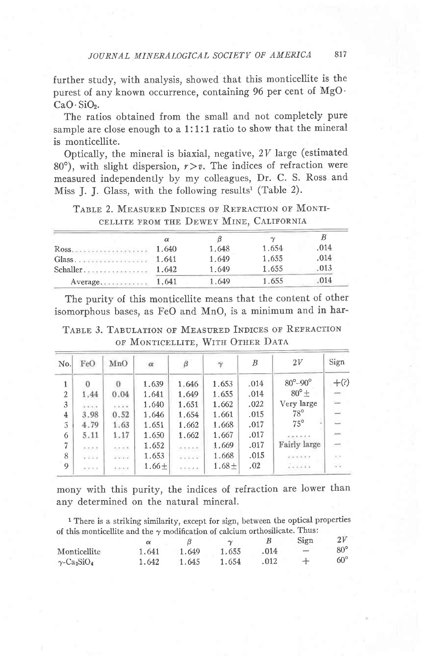further study, with analysis, showed that this monticellite is the purest of any known occurrence, containing 96 per cent of MgO.  $CaO·SiO<sub>2</sub>$ .

The ratios obtained from the small and not completely pure sample are close enough to a 1:1:1 ratio to show that the mineral is monticellite.

Optically, the mineral is biaxial, negative, 2V large (estimated) 80°), with slight dispersion,  $r > v$ . The indices of refraction were measured independently by my colleagues, Dr. C. S. Ross and Miss J. J. Glass, with the following results<sup>1</sup> (Table 2).

TABLE 2. MEASURED INDICES OF REFRACTION OF MONTI-CELLITE FROM THE DEWEY MINE, CALIFORNIA

|            | α     |       | $\sim$ |      |
|------------|-------|-------|--------|------|
| Ross 1.640 |       | 1.648 | 1.654  | .014 |
|            |       | 1.649 | 1.655  | .014 |
|            |       | 1.649 | 1.655  | .013 |
| Average    | 1.641 | 1.649 | 1.655  | .014 |

The purity of this monticellite means that the content of other isomorphous bases, as FeO and MnO, is a minimum and in har-

TABLE 3. TABULATION OF MEASURED INDICES OF REFRACTION OF MONTICELLITE, WITH OTHER DATA

| No.            | FeO                                                                                                                           | MnO             | $\alpha$ | $_{\beta}$   | $\gamma$          | B    | 2V                        | Sign                     |
|----------------|-------------------------------------------------------------------------------------------------------------------------------|-----------------|----------|--------------|-------------------|------|---------------------------|--------------------------|
| $\mathbf{1}$   | $\Omega$                                                                                                                      | 0               | 1,639    | 1.646        | 1.653             | .014 | $80^{\circ} - 90^{\circ}$ | $+$ (?)                  |
| $\overline{2}$ | 1.44                                                                                                                          | 0.04            | 1.641    | 1.649        | 1.655             | .014 | $80^{\circ}$ +            | $\overline{\phantom{m}}$ |
| 3              | 4.4.4.4                                                                                                                       | 1.1.1.1         | 1.640    | 1.651        | 1,662             | .022 | Very large                | S.                       |
| 4              | 3.98                                                                                                                          | 0.52            | 1.646    | 1.654        | 1.661             | .015 | $78^{\circ}$              |                          |
| 5              | 4.79                                                                                                                          | 1.63            | 1.651    | 1.662        | 1.668             | .017 | $75^\circ$                | s                        |
| 6              | 5.11                                                                                                                          | 1.17            | 1.650    | 1.662        | 1.667             | .017 |                           | $\frac{1}{2}$            |
| $\overline{7}$ | 经电子手                                                                                                                          | capitality.     | 1.652    | secessits    | 1.669             | .017 | Fairly large              | <b>STE</b>               |
| 8              | 5.09%                                                                                                                         | $-2.5 - 2.7$    | 1.653    | $-1.1.1.1$   | 1.668             | .015 | (1, 0, 0, 0, 0, 0, 0)     | 355                      |
| 9              | $\left\langle \Phi\right\rangle \left\langle \Phi\right\rangle \left\langle \Phi\right\rangle \left\langle \Phi\right\rangle$ | (1, 1, 1, 1, 1) | $1.66 +$ | <b>SECON</b> | 1.68 <sub>±</sub> | .02  | $-1.1.1.7.7$              | 管理                       |

mony with this purity, the indices of refraction are lower than any determined on the natural mineral.

<sup>1</sup> There is a striking similarity, except for sign, between the optical properties of this monticellite and the  $\gamma$  modification of calcium orthosilicate. Thus:

|                                            |       |       | $\sim$ |      | Sign                     |              |
|--------------------------------------------|-------|-------|--------|------|--------------------------|--------------|
| Monticellite                               | 1.641 | 1.649 | 1.655  | .014 | $\overline{\phantom{0}}$ | $80^{\circ}$ |
| $\gamma$ -Ca <sub>2</sub> SiO <sub>4</sub> | 1.642 | 1.645 | 1.654  | .012 |                          | $60^{\circ}$ |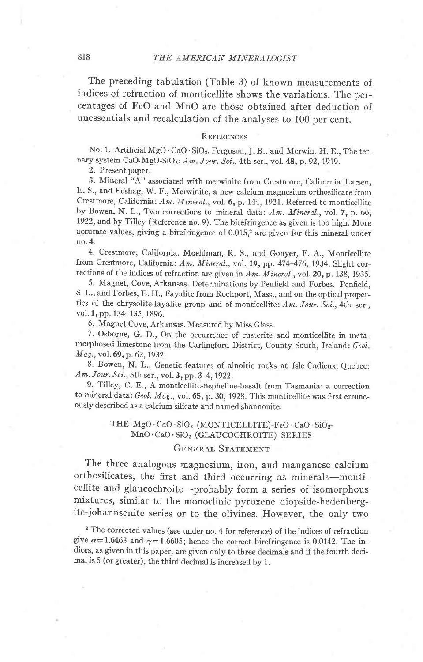The preceding tabulation (Table 3) of known measuremenrs of indices of refraction of monticellite shows the variations. The percentages of FeO and MnO are those obtained after deduction of unessentials and recalculation of the analyses to 100 per cent.

#### REFERENCES

No. 1. Artificial MgO·CaO·SiO<sub>2</sub>. Ferguson, J. B., and Merwin, H. E., The ternary system CaO-MgO-SiO<sub>2</sub>: Am. Jour. Sci., 4th ser., vol. 48, p. 92, 1919.

2. Present paper.

3. Mineral "A" associated with merwinite from Crestmore, California. Larsen, E. S., and FoShag, W. F., Merwinite, a new calcium magnesium orthosilicate from Crestmore, California: Am. Mineral., vol. 6, p. 144, 1921. Referred to monticellite by Bowen, N. L., Two corrections to mineral data: Am. Mineral., vol. 7, p. 66, 1922, and by Tilley (Reference no. 9). The birefringence as given is too high. More accurate values, giving a birefringence of  $0.015$ ,<sup>2</sup> are given for this mineral under no.4.

4. Crestmore, California. Moehlman, R. S., and Gonyer, F. A., Monticellite from Crestmore, California: Am. Mineral., vol. 19, pp. 474-476, 1934. Slight corrections of the indices of refraction are given in  $Am.$  Mineral., vol. 20, p. 138, 1935.

5. Magnet, Cove, Arkansas. Determinations by Penfield and Forbes. Penfield, S. L., and Forbes, E. H., Fayaiite from Rockport, Mass., and on the optical properties of the chrysolite-fayalite group and of monticellite: Am. Jour. Sci., 4th ser., vol. 1, pp. 134-135, 1896.

6. Magnet Cove, Arkansas. Measured by Miss Glass.

7. Osborne, G. D., On the occurrence of custerite and monticellite in metamorphosed limestone from the Carlingford District, County South, Ireland: Geol. Mag., vol. 69, p. 62, 1932.

8. Bowen, N. L., Genetic features of alnoitic rocks at Isle Cadieux, Quebec: Am. Jour. Sci., 5th ser., vol. 3, pp. 3–4, 1922.

9. Tilley, C. E., A monticellite-nepheline-basalt from Tasmania: a correction to mineral data: Geol. Mag., vol.  $65$ , p. 30, 1928. This monticellite was first erroneously described as a calcium silicate and named shannonite.

#### THE MgO · CaO · SiO<sub>2</sub> (MONTICELLITE)-FeO · CaO · SiO<sub>2</sub>-MnO. CaO'SiO, (GLAUCOCHROITE) SERIES

### GENERAL STATEMENT

The three analogous magnesium, iron, and manganese calcium orthosilicates, the first and third occurring as minerals-monticellite and glaucochroite-probably form a series of isomorphous mixtures, similar to the monoclinic pyroxene diopside-hedenbergite-johannsenite series or to the olivines. However, the only two

<sup>2</sup> The corrected values (see under no. 4 for reference) of the indices of refraction give  $\alpha=1.6463$  and  $\gamma=1.6605$ ; hence the correct birefringence is 0.0142. The indices, as given in this paper, are given only to three decimals and if the fourth decimal is 5 (or greater), the third decimal is increased by 1.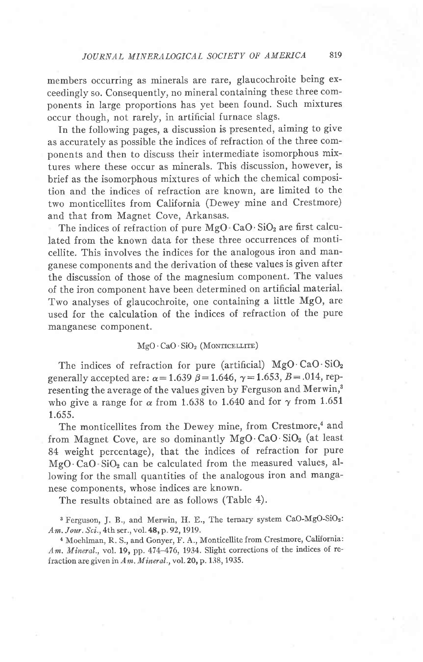### JOURNAL MINERALOGICAL SOCIETY OF AMERICA 819

members occurring as minerals are rare, glaucochroite being exceedingly so. Consequently, no mineral containing these three components in large proportions has yet been found. Such mixtures occur though, not rarely, in artificial furnace slags.

In the following pages, a discussion is presented, aiming to give as accurately as possible the indices of refraction of the three components and then to discuss their intermediate isomorphous mixtures where these occur as minerals. This discussion, however, is brief as the isomorphous mixtures of which the chemical composition and the indices of refraction are known, are limited to the two monticellites from California (Dewey mine and Crestmore) and that from Magnet Cove, Arkansas.

The indices of refraction of pure  $MgO \cdot CaO \cdot SiO_2$  are first calculated from the known data for these three occurrences of monticellite. This involves the indices for the analogous iron and manganese components and the derivation of these values is given after the discussion of those of the magnesium component. The values of the iron component have been determined on artificial material. Two analyses of glaucochroite, one containing a little MgO, are used for the calculation of the indices of refraction of the pure manganese component.

#### $MgO \cdot CaO \cdot SiO_2$  (MONTICELLITE)

The indices of refraction for pure (artificial)  $MgO \cdot CaO \cdot SiO<sub>2</sub>$ generally accepted are:  $\alpha = 1.639 \ \beta = 1.646, \ \gamma = 1.653, \ B = .014, \text{ rep-}$ resenting the average of the values given by Ferguson and Merwin,<sup>3</sup> who give a range for  $\alpha$  from 1.638 to 1.640 and for  $\gamma$  from 1.651 1.655.

The monticellites from the Dewey mine, from Crestmore,<sup>4</sup> and from Magnet Cove, are so dominantly MgO $\cdot$ CaO $\cdot$ SiO<sub>2</sub> (at least 84 weight percentage), that the indices of refraction for pure  $MgO \cdot CaO \cdot SiO_2$  can be calculated from the measured values, allowing for the small quantities of the analogous iron and manganese components, whose indices are known.

The results obtained are as follows (Table 4).

3 Ferguson, J. B., and Merwin, H. E., The ternary system CaO-MgO-SiOz: Am. Jour. Sci., 4th ser., vol. 48, p. 92, 1919.

a Moehlman, R. S., and Gonyer, F. A., Monticellite from Crestmore, California:  $Am.$  Mineral., vol. 19, pp. 474-476, 1934. Slight corrections of the indices of refraction are given in  $Am.$  Mineral., vol. 20, p. 138, 1935.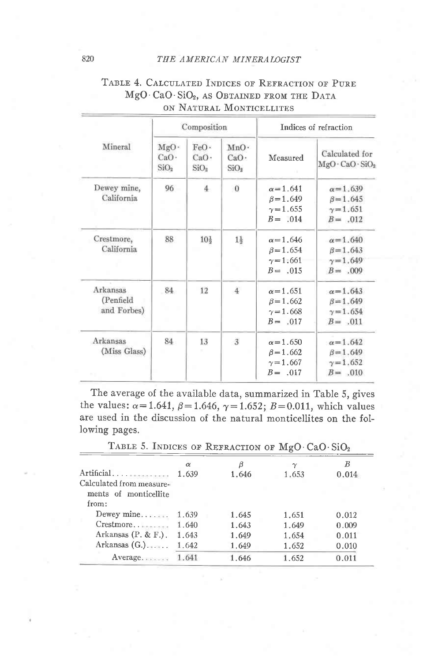#### THE AMERICAN MINERALOGIST

|                                      |                                                 | Composition                                  |                                              |                                                                        | Indices of refraction                                                 |
|--------------------------------------|-------------------------------------------------|----------------------------------------------|----------------------------------------------|------------------------------------------------------------------------|-----------------------------------------------------------------------|
| Mineral                              | $MgO^+$<br>CaO <sup>2</sup><br>SiO <sub>2</sub> | FeO.<br>CaO <sub>2</sub><br>SiO <sub>2</sub> | MnO.<br>CaO <sub>2</sub><br>SiO <sub>2</sub> | Measured                                                               | Calculated for<br>$MgO \cdot CaO \cdot SiO2$                          |
| Dewey mine,<br>California            | 96                                              | $\overline{4}$                               | $\overline{0}$                               | $\alpha = 1.641$<br>$\beta = 1.649$<br>$\gamma = 1.655$<br>$B = 0.014$ | $\alpha = 1.639$<br>$\beta = 1.645$<br>$\gamma = 1.651$<br>$B = .012$ |
| Crestmore,<br>California             | 88                                              | $10\frac{1}{2}$                              | $1\frac{1}{2}$                               | $\alpha = 1.646$<br>$\beta = 1.654$<br>$\gamma = 1.661$<br>$B = 0.015$ | $\alpha = 1.640$<br>$\beta = 1.643$<br>$\gamma = 1.649$<br>$B = .009$ |
| Arkansas<br>(Penfield<br>and Forbes) | 84                                              | 12                                           | 4                                            | $\alpha = 1.651$<br>$\beta = 1.662$<br>$\gamma = 1.668$<br>$B = 0.017$ | $\alpha = 1.643$<br>$\beta = 1.649$<br>$\gamma = 1.654$<br>$B = .011$ |
| Arkansas<br>(Miss Glass)             | 84                                              | 13                                           | $\overline{3}$                               | $\alpha = 1.650$<br>$\beta = 1.662$<br>$\gamma = 1.667$<br>$B = 0.017$ | $\alpha = 1.642$<br>$\beta = 1.649$<br>$\gamma = 1.652$<br>$B = .010$ |

# TABLE 4. CALCULATED INDICES OF REFRACTION OF PURE MgO·CaO·SiO<sub>2</sub>, AS OBTAINED FROM THE DATA ON NATURAL MONTICELLITES

The average of the available data, summarized in Table 5, gives the values:  $\alpha = 1.641$ ,  $\beta = 1.646$ ,  $\gamma = 1.652$ ;  $B = 0.011$ , which values are used in the discussion of the natural monticellites on the following pages.

| TABLE 5. INDICES OF REFRACTION OF MgO. CaO. SiO <sub>2</sub> |       |       |          |       |
|--------------------------------------------------------------|-------|-------|----------|-------|
|                                                              | α     | β     | $\gamma$ | В     |
| Artificial                                                   | 1.639 | 1.646 | 1.653    | 0.014 |
| Calculated from measure-<br>ments of monticellite<br>from:   |       |       |          |       |
| Dewey mine                                                   | 1.639 | 1.645 | 1.651    | 0.012 |
| Crestmore                                                    | 1.640 | 1.643 | 1.649    | 0.009 |
| Arkansas $(P, \& F)$ .                                       | 1.643 | 1.649 | 1.654    | 0.011 |
| Arkansas $(G.)$                                              | 1.642 | 1.649 | 1.652    | 0.010 |
| Average                                                      | 1.641 | 1.646 | 1,652    | 0.011 |

820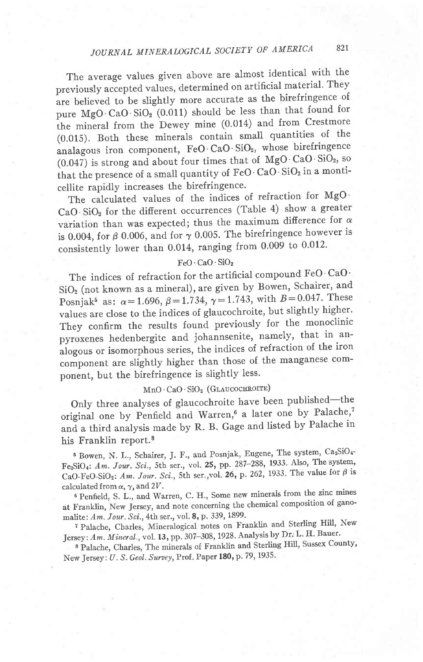The average values given above are almost identical with the previously accepted values, determined on artificial material. They are believed to be slightly more accurate as the birefringence of pure  $MgO \cdot CaO \cdot SiO_2(0.011)$  should be less than that found for the mineral from the Dewey mine (0.014) and from Crestmore (0.015). Both these minerals contain small quantities of the analagous iron component, FeO·CaO·SiO<sub>2</sub>, whose birefringence (0.047) is strong and about four times that of  $MgO \cdot CaO \cdot SiO<sub>2</sub>$ , so that the presence of a small quantity of  $FeO· CaO· SiO<sub>2</sub>$  in a monticellite rapidly increases the birefringence.

The calculated values of the indices of refraction for  $MgO$ . CaO'SiOz for the different occurrences (Table 4) show a greater variation than was expected; thus the maximum difference for  $\alpha$ is 0.004, for  $\beta$  0.006, and for  $\gamma$  0.005. The birefringence however is consistently lower than  $0.014$ , ranging from  $0.009$  to  $0.012$ .

### FeO' CaO' SiOz

The indices of refraction for the artificial compound FeO' CaO'  $SiO<sub>2</sub>$  (not known as a mineral), are given by Bowen, Schairer, and Posnjak<sup>5</sup> as:  $\alpha = 1.696$ ,  $\beta = 1.734$ ,  $\gamma = 1.743$ , with  $B = 0.047$ . These values are close to the indices of glaucochroite, but slightly higher. They confirm the results found previously for the monoclinic pyroxenes hedenbergite and johannsenite, namely, that in analogous or isomorphous series, the indices of refraction of the iron component are slightly higher than those of the manganese component, but the birefringence is slightly less.

# $MnO \cdot CaO \cdot SiO_2$  (GLAUCOCHROITE)

Only three analyses of glaucochroite have been published—th original one by Penfield and Warren,<sup>6</sup> a later one by Palache,<sup>7</sup> and a third analysis made by R. B. Gage and listed by Palache in his Franklin report.8

 $6$  Bowen, N. L., Schairer, J. F., and Posnjak, Eugene, The system,  $Ca_2SiO_4$  $Fe<sub>2</sub>SiO<sub>4</sub>: Am. Jour. Sci., 5th ser., vol. 25, pp. 287-288, 1933. Also, The syste$ CaO-FeO-SiO<sub>2</sub>: Am. Jour. Sci., 5th ser., vol. 26, p. 262, 1933. The value for  $\beta$  is calculated from  $\alpha$ ,  $\gamma$ , and 2V.

6 Penfield, S. L., and'Warren, C. H., Some new minerals from the zinc mines at Franklin, New Jersey, and note concerning the chemical composition of ganomalite: Am. Jour. Sci., 4th ser., vol.  $8$ , p. 339, 1899.

<sup>7</sup> Palache, Charles, Mineralogical notes on Franklin and Sterling Hill, New Jersey: Am. Mineral., vol. 13, pp. 307-308, 1928. Analysis by Dr, L. H. Bauer.

8 Palache, Charles, The minerals of Franklin and Sterling Hill, Sussex County, New Jersey: U.S. Geol. Survey, Prof. Paper 180, p. 79, 1935.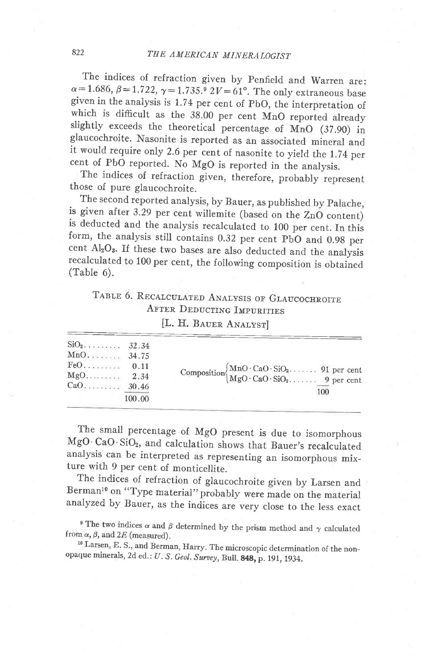The indices of refraction given by penfield and Warren are:  $\alpha$  = 1.686,  $\beta$  = 1.722,  $\gamma$  = 1.735.<sup>9</sup> 2V = 61°. The only extraneous base given in the analysis is 1.74 per cent of pbO, the interpretation of which is difficult as the  $38.00$  per cent MnO reported already slightly exceeds the theoretical percentage of MnO  $(37.90)$  in glaucochroite. Nasonite is reported as an associated mineral and it would require only 2.6 per cent of nasonite to yield the 1.74 per cent of PbO reported. No MgO is reported in the analysis.

The indices of refraction given, therefore, probably represent those of pure glaucochroite.

The second reported analysis, by Bauer, as published by palache, is given after 3.29 per cent willemite (based on the ZnO content) is deducted and the analysis recalculated to 100 per cent. In this form, the analysis still contains 0.32 per cent pbO and 0.9g per cent AlzOs. ff these two bases are also deducted and the analysis recalculated to 100 per cent, the following composition is obtained (Table 6).

# TABLE 6. RECALCULATED ANALYSIS OF GLAUCOCHROITE AFTER DEDUCTING IMPURITIES

[L. H. BAUER ANALYST]

| $SiO2$ 32.34 | 100.00 | Composition $\begin{cases} \text{MnO} \cdot \text{CaO} \cdot \text{SiO}_2, & \text{91} \text{ per cent} \\ \text{MgO} \cdot \text{CaO} \cdot \text{SiO}_2, & \text{91} \text{ per cent} \end{cases}$<br>100 |
|--------------|--------|-------------------------------------------------------------------------------------------------------------------------------------------------------------------------------------------------------------|
|--------------|--------|-------------------------------------------------------------------------------------------------------------------------------------------------------------------------------------------------------------|

The small percentage of MgO present is due to isomorphous MgO CaO.SiO2, and calculation slows that Bauer's recalculated analysis can be interpreted as representing an isomorphous mixture with 9 per cent of monticellite.

The indices of refraction of glaucochroite given by Larsen and Berman<sup>10</sup> on "Type material" probably were made on the material analyzed by Bauer, as the indices are very close to the less exact

<sup>9</sup> The two indices  $\alpha$  and  $\beta$  determined by the prism method and  $\gamma$  calculated from  $\alpha$ ,  $\beta$ , and 2E (measured).

10 Larsen, E. S., and Berman, Harry. The microscopic determination of the non\_ opaque minerals, 2d ed.: U. S. Geol. Survey, Bull. 848, p. 191, 1934.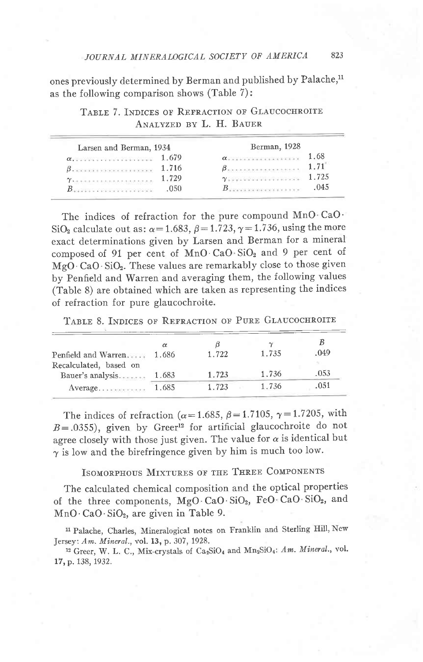ones previously determined by Berman and published by Palache,<sup>11</sup> as the following comparison shows (Table 7):

| Larsen and Berman, 1934                                                                 |       | Berman, 1928                                                                                                                                                                                                                     |        |
|-----------------------------------------------------------------------------------------|-------|----------------------------------------------------------------------------------------------------------------------------------------------------------------------------------------------------------------------------------|--------|
| $\alpha$ . 1.679                                                                        |       | $\alpha$ .                                                                                                                                                                                                                       | 1.68   |
| Becommunication and communication                                                       | 1.716 | D алалалалалалалалалалалалала к                                                                                                                                                                                                  | 1.71   |
|                                                                                         | 1.729 | $\gamma$ . The second second second second second second second second second second second second second second second second second second second second second second second second second second second second second second | 1 72.5 |
| $\boldsymbol{\mathit{B}}$ in the second control of the second $\boldsymbol{\mathit{B}}$ | .050  | the contract of the contract of the contract of                                                                                                                                                                                  | 045    |

TABLE 7. INDICES OF REFRACTION OF GLAUCOCHROITE ANALYZED BY L. H. BAUER

The indices of refraction for the pure compound MnO CaO' SiO<sub>2</sub> calculate out as:  $\alpha$  = 1.683,  $\beta$  = 1.723,  $\gamma$  = 1.736, using the more exact determinations given by Larsen and Berman for a mineral composed of 91 per cent of  $MnO$   $CaO$   $SiO<sub>2</sub>$  and 9 per cent of MgO CaO SiO<sub>2</sub>. These values are remarkably close to those given by Penfield and Warren and averaging them, the following values (Table 8) are obtained which are taken as representing the indices of refraction for pure glaucochroite.

TABLE 8. INDICES OF REFRACTION OF PURE GLAUCOCHROITE

| Penfield and Warren                         | $\alpha$<br>1.686 | 1.722 | $\gamma$<br>1.735 | .049 |
|---------------------------------------------|-------------------|-------|-------------------|------|
| Recalculated, based on<br>Bauer's analysis. | 1.683             | 1.723 | 1.736             | .053 |
| Average                                     | 1.685             | 1.723 | 1.736             | .051 |

The indices of refraction ( $\alpha$ =1.685,  $\beta$ =1.7105,  $\gamma$ =1.7205, with  $B = .0355$ ), given by Greer<sup>12</sup> for artificial glaucochroite do not agree closely with those just given. The value for  $\alpha$  is identical but  $\gamma$  is low and the birefringence given by him is much too low.

ISOMORPHOUS MIXTURES OF THE THREE COMPONENTS

The calculated chemical composition and the optical properties of the three components, MgO'CaO'SiO2, FeO CaO SiOz, and  $MnO \cdot CaO \cdot SiO<sub>2</sub>$ , are given in Table 9.

11 Palache, Charles, Mineralogical notes on Franklin and Sterling HiIl, New Jersey: Am. Mineral., vol. 13, p. 307, 1928.

<sup>12</sup> Greer, W. L. C., Mix-crystals of Ca<sub>2</sub>SiO<sub>4</sub> and Mn<sub>2</sub>SiO<sub>4</sub>: Am. Mineral., vol. 17, p. 138, 1932.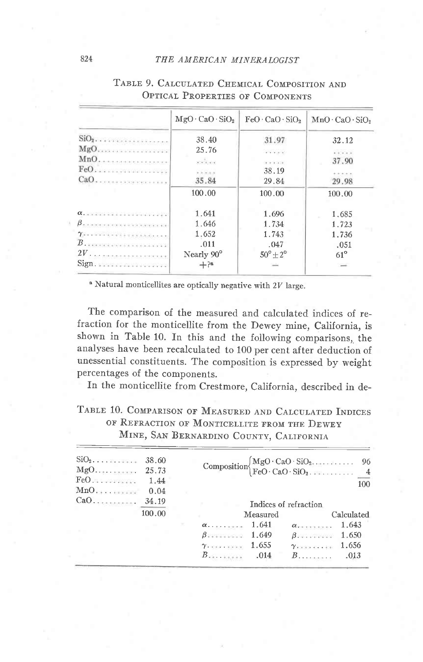#### THE AMERICAN MINERALOGIST

|                                                    | $MgO \cdot CaO \cdot SiO2$                                                                                                                                                                                                                                                                                                                                                                                              | $FeO \cdot CaO \cdot SiO2$ | $MnO \cdot CaO \cdot SiO2$ |
|----------------------------------------------------|-------------------------------------------------------------------------------------------------------------------------------------------------------------------------------------------------------------------------------------------------------------------------------------------------------------------------------------------------------------------------------------------------------------------------|----------------------------|----------------------------|
| $\text{SiO}_2$                                     | 38.40                                                                                                                                                                                                                                                                                                                                                                                                                   | 31.97                      | 32.12                      |
| $MgO$                                              | 25.76                                                                                                                                                                                                                                                                                                                                                                                                                   | 2.4.4.4.4                  | .                          |
| $MnO$                                              | $x = 1, 1, 0, 0$                                                                                                                                                                                                                                                                                                                                                                                                        | 9.9.9.4.0                  | 37.90                      |
|                                                    | $x = \frac{1}{2} \sqrt{1 + \frac{1}{2} \sqrt{1 + \frac{1}{2} \sqrt{1 + \frac{1}{2} \sqrt{1 + \frac{1}{2} \sqrt{1 + \frac{1}{2} \sqrt{1 + \frac{1}{2} \sqrt{1 + \frac{1}{2} \sqrt{1 + \frac{1}{2} \sqrt{1 + \frac{1}{2} \sqrt{1 + \frac{1}{2} \sqrt{1 + \frac{1}{2} \sqrt{1 + \frac{1}{2} \sqrt{1 + \frac{1}{2} \sqrt{1 + \frac{1}{2} \sqrt{1 + \frac{1}{2} \sqrt{1 + \frac{1}{2} \sqrt{1 + \frac{1}{2} \sqrt{1 + \frac$ | 38.19                      |                            |
|                                                    | 35.84                                                                                                                                                                                                                                                                                                                                                                                                                   | 29.84                      | 29.98                      |
|                                                    | 100.00                                                                                                                                                                                                                                                                                                                                                                                                                  | 100.00                     | 100.00                     |
|                                                    | 1.641                                                                                                                                                                                                                                                                                                                                                                                                                   | 1.696                      | 1.685                      |
| $\beta$ accuracional con a matematical components. | 1.646                                                                                                                                                                                                                                                                                                                                                                                                                   | 1.734                      | 1.723                      |
| $\gamma$                                           | 1.652                                                                                                                                                                                                                                                                                                                                                                                                                   | 1.743                      | 1.736                      |
|                                                    | .011                                                                                                                                                                                                                                                                                                                                                                                                                    | .047                       | .051                       |
|                                                    | Nearly 90°                                                                                                                                                                                                                                                                                                                                                                                                              | $50^{\circ} + 2^{\circ}$   | $61^\circ$                 |
|                                                    | $+$ ?a                                                                                                                                                                                                                                                                                                                                                                                                                  | <b>SALE</b>                |                            |

# TABLE 9. CALCULATED CHEMICAL COMPOSITION AND OPTICAL PROPERTIES OF COMPONENTS

<sup>a</sup> Natural monticellites are optically negative with 2V large.

The comparison of the measured and calculated indices of refraction for the monticellite from the Dewey mine, California, is shown in Table 10. In this and the following comparisons, the analyses have been recalculated to 100 per cent after deduction of unessential constituents. The composition is expressed by weight percentages of the components.

In the monticellite from Crestmore, California, described in de-

# TABLE 10. COMPARISON OF MEASURED AND CALCULATED INDICES OF REFRACTION OF MONTICELLITE FROM THE DEWEY MINE, SAN BERNARDINO COUNTY, CALIFORNIA

| $\text{SiO}_2$<br>FeO.41<br>MnO | 38.60<br>1.44<br>0.04 |                  |          | Composition $\begin{cases} MgO \cdot CaO \cdot SiO_2. & 96 \\ FeO \cdot CaO \cdot SiO_2. & 4 \end{cases}$ | 100        |
|---------------------------------|-----------------------|------------------|----------|-----------------------------------------------------------------------------------------------------------|------------|
|                                 |                       |                  |          | Indices of refraction                                                                                     |            |
|                                 | 100.00                |                  | Measured |                                                                                                           | Calculated |
|                                 |                       |                  |          |                                                                                                           | 1.643      |
|                                 |                       |                  |          | $\beta$ . 1.650                                                                                           |            |
|                                 |                       | $\gamma$ . 1.655 |          |                                                                                                           |            |
|                                 |                       |                  |          | $B$                                                                                                       | .013       |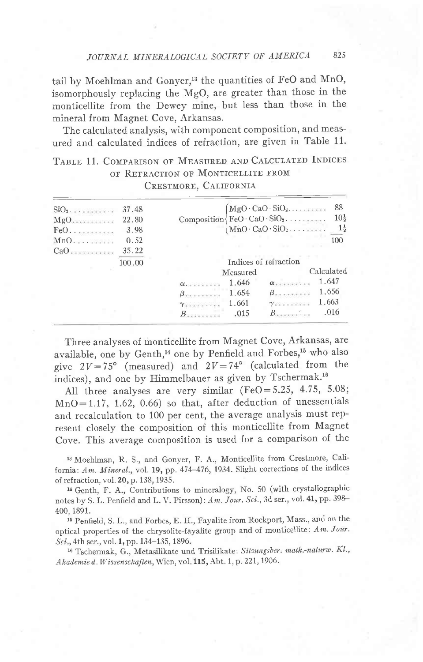tail by Moehlman and Gonyer,<sup>13</sup> the quantities of FeO and MnO, isomorphously replacing the MgO, are greater than those in the monticellite from the Dewey mine, but less than those in the mineral from Magnet Cove, Arkansas.

The calculated analysis, with component composition, and measured and calculated indices of refraction, are given in Table 11.

# TABLE 11. COMPARISON OF MEASURED AND CALCULATED INDICES OF REFRACTION OF MONTICELLITE FROM CRESTMORE, CALIFORNIA

| 37.48 |                       |       |          | 88                                                                                                                                                                                                                                 |
|-------|-----------------------|-------|----------|------------------------------------------------------------------------------------------------------------------------------------------------------------------------------------------------------------------------------------|
| 22.80 |                       |       |          | $10\frac{1}{2}$                                                                                                                                                                                                                    |
| 3.98  |                       |       |          | $1\frac{1}{2}$                                                                                                                                                                                                                     |
| 0.52  |                       |       |          | 100                                                                                                                                                                                                                                |
| 35.22 |                       |       |          |                                                                                                                                                                                                                                    |
|       | Indices of refraction |       |          |                                                                                                                                                                                                                                    |
|       |                       |       |          | Calculated                                                                                                                                                                                                                         |
|       | $\alpha$ .            | 1.646 |          | 1.647                                                                                                                                                                                                                              |
|       |                       | 1.654 |          | 1.656                                                                                                                                                                                                                              |
|       |                       | 1.661 |          | 1.663                                                                                                                                                                                                                              |
|       |                       | .015  |          | .016                                                                                                                                                                                                                               |
|       | 100.00                |       | Measured | $MgO \cdot CaO \cdot SiO_2 \dots$<br>Composition $\operatorname{FeO} \cdot \operatorname{CaO} \cdot \operatorname{SiO}_2$<br>$MnO \cdot CaO \cdot SiO_2 \dots$<br>$\alpha$ .<br>$\beta$<br>$Y \times Y \times Y \times Y \times Y$ |

Three analyses of monticellite from Magnet Cove, Arkansas, are available, one by Genth,<sup>14</sup> one by Penfield and Forbes,<sup>15</sup> who also give  $2V=75^{\circ}$  (measured) and  $2V=74^{\circ}$  (calculated from the indices), and one by Himmelbauer as given by Tschermak.<sup>16</sup>

All three analyses are very similar (FeO=5.25, 4.75, 5.08;  $MnO=1.17$ , 1.62, 0.66) so that, after deduction of unessentials and recalculation to 100 per cent, the average analysis must represent closely the composition of this monticellite from Magnet Cove. This average composition is used for a comparison of the

<sup>13</sup> Moehlman, R. S., and Gonyer, F. A., Monticellite from Crestmore, California: Am. Mineral., vol. 19, pp. 474-476, 1934. Slight corrections of the indices of refraction, vol. 20, p. 138, 1935.

<sup>14</sup> Genth, F. A., Contributions to mineralogy, No. 50 (with crystallographic notes by S. L. Penfield and L. V. Pirsson): Am. Jour. Sci., 3d ser., vol. 41, pp. 398-400, 1891.

<sup>15</sup> Penfield, S. L., and Forbes, E. H., Fayalite from Rockport, Mass., and on the optical properties of the chrysolite-fayalite group and of monticellite: Am. Jour. Sci., 4th ser., vol. 1, pp. 134-135, 1896.

<sup>16</sup> Tschermak, G., Metasilikate und Trisilikate: Sitzungsber. math.-naturw. Kl., Akademie d. Wissenschaften, Wien, vol. 115, Abt. 1, p. 221, 1906.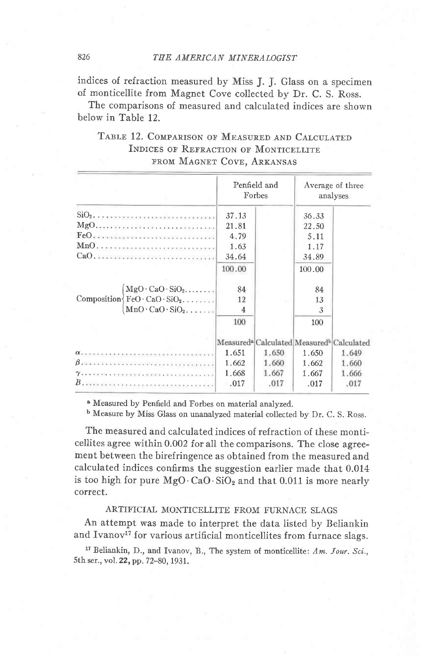indices of refraction measured by Miss J. J. Glass on a specimen of monticellite from Magnet Cove collected by Dr. C. S. Ross.

The comparisons of measured and calculated indices are shown below in Table 12.

| TABLE 12. COMPARISON OF MEASURED AND CALCULATED |
|-------------------------------------------------|
| INDICES OF REFRACTION OF MONTICELLITE           |
| FROM MAGNET COVE, ARKANSAS                      |

|                                                                                                                                                                                                                                   | Penfield and<br>Forbes |       | Average of three<br>analyses |                                                                   |
|-----------------------------------------------------------------------------------------------------------------------------------------------------------------------------------------------------------------------------------|------------------------|-------|------------------------------|-------------------------------------------------------------------|
|                                                                                                                                                                                                                                   | 37.13                  |       | 36.33                        |                                                                   |
|                                                                                                                                                                                                                                   | 21.81                  |       | 22.50                        |                                                                   |
|                                                                                                                                                                                                                                   | 4.79                   |       | 5.11                         |                                                                   |
|                                                                                                                                                                                                                                   | 1.63                   |       | 1.17                         |                                                                   |
| CaO, increased in a continuum company                                                                                                                                                                                             | 34.64                  |       | 34.89                        |                                                                   |
|                                                                                                                                                                                                                                   | 100.00                 |       | 100.00                       |                                                                   |
| $MgO \cdot CaO \cdot SiO_2$                                                                                                                                                                                                       | 84                     |       | 84                           |                                                                   |
| Composition $\{FeO \cdot CaO \cdot SiO_2, \ldots$ .                                                                                                                                                                               | 12                     |       | 13                           |                                                                   |
| $MnO \cdot CaO \cdot SiO_2 \ldots$                                                                                                                                                                                                | $\overline{4}$         |       | 3                            |                                                                   |
|                                                                                                                                                                                                                                   | 100                    |       | 100                          |                                                                   |
|                                                                                                                                                                                                                                   |                        |       |                              | Measured <sup>a</sup> Calculated Measured <sup>b</sup> Calculated |
|                                                                                                                                                                                                                                   | 1.651                  | 1.650 | 1.650                        | 1.649                                                             |
|                                                                                                                                                                                                                                   | 1.662                  | 1.660 | 1.662                        | 1.660                                                             |
| $\gamma$ . The constant of the second state of the state of the state of the state of the state of the state of the state of the state of the state of the state of the state of the state of the state of the state of the state | 1.668                  | 1.667 | 1.667                        | 1.666                                                             |
|                                                                                                                                                                                                                                   | .017                   | .017  | .017                         | .017                                                              |

<sup>a</sup> Measured by Penfield and Forbes on material analyzed.

<sup>b</sup> Measure by Miss Glass on unanalyzed material collected by Dr. C. S. Ross.

The measured and calculated indices of refraction of these monticellites agree within 0.002 for all the comparisons. The close agreement between the birefringence as obtained from the measured and calculated indices confirms the suggestion earlier made that 0.014 is too high for pure  $MgO \cdot CaO \cdot SiO_2$  and that 0.011 is more nearly correct.

#### ARTIFICIAL MONTICELLITE FROM FURNACE SLAGS

An attempt was made to interpret the data listed by Beliankin and Ivanov<sup>17</sup> for various artificial monticellites from furnace slags.

<sup>17</sup> Beliankin, D., and Ivanov, B., The system of monticellite: Am. Jour. Sci., 5th ser., vol. 22, pp. 72-80, 1931.

826